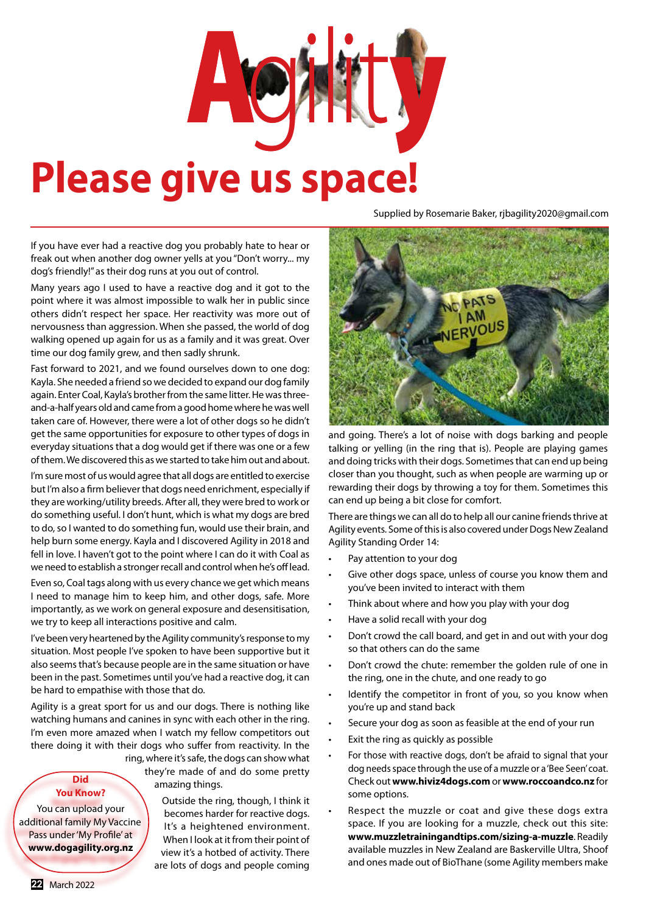

If you have ever had a reactive dog you probably hate to hear or freak out when another dog owner yells at you "Don't worry... my dog's friendly!" as their dog runs at you out of control.

Many years ago I used to have a reactive dog and it got to the point where it was almost impossible to walk her in public since others didn't respect her space. Her reactivity was more out of nervousness than aggression. When she passed, the world of dog walking opened up again for us as a family and it was great. Over time our dog family grew, and then sadly shrunk.

Fast forward to 2021, and we found ourselves down to one dog: Kayla. She needed a friend so we decided to expand our dog family again. Enter Coal, Kayla's brother from the same litter. He was threeand-a-half years old and came from a good home where he was well taken care of. However, there were a lot of other dogs so he didn't get the same opportunities for exposure to other types of dogs in everyday situations that a dog would get if there was one or a few of them. We discovered this as we started to take him out and about.

I'm sure most of us would agree that all dogs are entitled to exercise but I'm also a firm believer that dogs need enrichment, especially if they are working/utility breeds. After all, they were bred to work or do something useful. I don't hunt, which is what my dogs are bred to do, so I wanted to do something fun, would use their brain, and help burn some energy. Kayla and I discovered Agility in 2018 and fell in love. I haven't got to the point where I can do it with Coal as we need to establish a stronger recall and control when he's off lead.

Even so, Coal tags along with us every chance we get which means I need to manage him to keep him, and other dogs, safe. More importantly, as we work on general exposure and desensitisation, we try to keep all interactions positive and calm.

I've been very heartened by the Agility community's response to my situation. Most people I've spoken to have been supportive but it also seems that's because people are in the same situation or have been in the past. Sometimes until you've had a reactive dog, it can be hard to empathise with those that do.

Agility is a great sport for us and our dogs. There is nothing like watching humans and canines in sync with each other in the ring. I'm even more amazed when I watch my fellow competitors out there doing it with their dogs who suffer from reactivity. In the

ring, where it's safe, the dogs can show what they're made of and do some pretty

## **Did You Know?**

You can upload your additional family My Vaccine Pass under 'My Profile' at **www.dogagility.org.nz**

amazing things.

Outside the ring, though, I think it becomes harder for reactive dogs. It's a heightened environment. When I look at it from their point of view it's a hotbed of activity. There are lots of dogs and people coming

Supplied by Rosemarie Baker, rjbagility2020@gmail.com



and going. There's a lot of noise with dogs barking and people talking or yelling (in the ring that is). People are playing games and doing tricks with their dogs. Sometimes that can end up being closer than you thought, such as when people are warming up or rewarding their dogs by throwing a toy for them. Sometimes this can end up being a bit close for comfort.

There are things we can all do to help all our canine friends thrive at Agility events. Some of this is also covered under Dogs New Zealand Agility Standing Order 14:

- Pay attention to your dog
- Give other dogs space, unless of course you know them and you've been invited to interact with them
- Think about where and how you play with your dog
- Have a solid recall with your dog
- Don't crowd the call board, and get in and out with your dog so that others can do the same
- Don't crowd the chute: remember the golden rule of one in the ring, one in the chute, and one ready to go
- Identify the competitor in front of you, so you know when you're up and stand back
- Secure your dog as soon as feasible at the end of your run
- Exit the ring as quickly as possible
- For those with reactive dogs, don't be afraid to signal that your dog needs space through the use of a muzzle or a 'Bee Seen' coat. Check out **www.hiviz4dogs.com** or **www.roccoandco.nz** for some options.
- Respect the muzzle or coat and give these dogs extra space. If you are looking for a muzzle, check out this site: **www.muzzletrainingandtips.com/sizing-a-muzzle**. Readily available muzzles in New Zealand are Baskerville Ultra, Shoof and ones made out of BioThane (some Agility members make